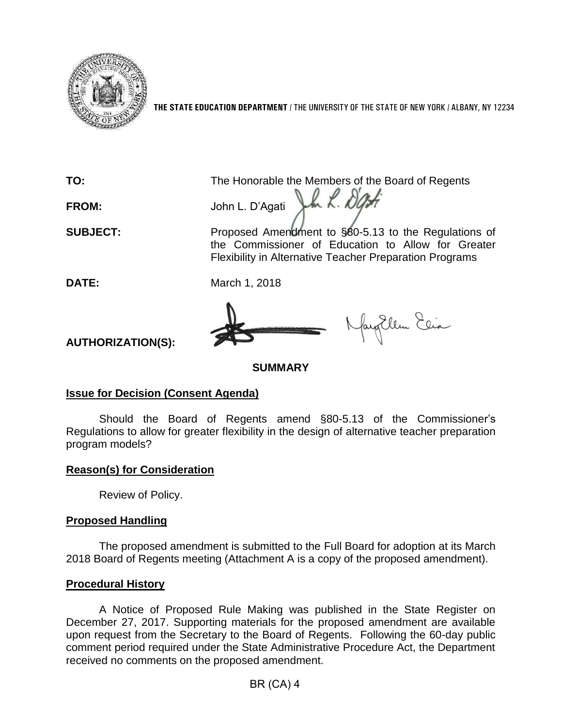

**THE STATE EDUCATION DEPARTMENT** / THE UNIVERSITY OF THE STATE OF NEW YORK / ALBANY, NY 12234

**TO:** The Honorable the Members of the Board of Regents



**SUBJECT:** Proposed Amendment to §80-5.13 to the Regulations of the Commissioner of Education to Allow for Greater Flexibility in Alternative Teacher Preparation Programs

**DATE:** March 1, 2018

Naytlem Elia

**AUTHORIZATION(S):**

**SUMMARY**

# **Issue for Decision (Consent Agenda)**

Should the Board of Regents amend §80-5.13 of the Commissioner's Regulations to allow for greater flexibility in the design of alternative teacher preparation program models?

# **Reason(s) for Consideration**

Review of Policy.

# **Proposed Handling**

The proposed amendment is submitted to the Full Board for adoption at its March 2018 Board of Regents meeting (Attachment A is a copy of the proposed amendment).

### **Procedural History**

A Notice of Proposed Rule Making was published in the State Register on December 27, 2017. Supporting materials for the proposed amendment are available upon request from the Secretary to the Board of Regents. Following the 60-day public comment period required under the State Administrative Procedure Act, the Department received no comments on the proposed amendment.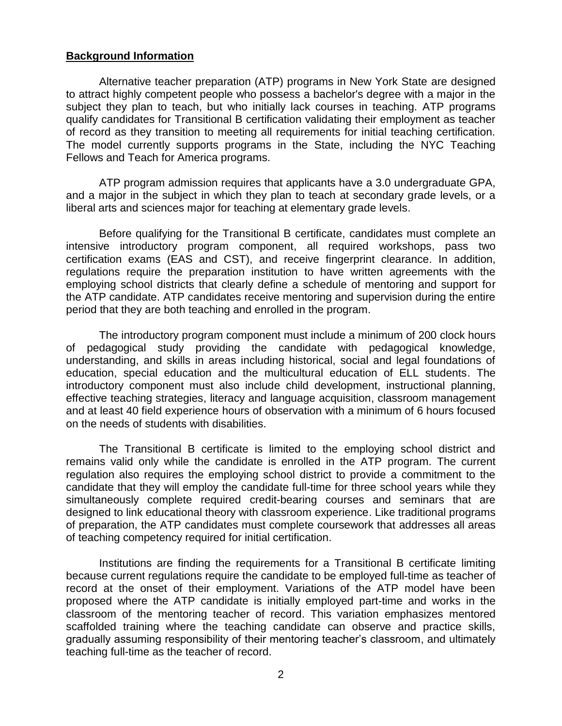#### **Background Information**

Alternative teacher preparation (ATP) programs in New York State are designed to attract highly competent people who possess a bachelor's degree with a major in the subject they plan to teach, but who initially lack courses in teaching. ATP programs qualify candidates for Transitional B certification validating their employment as teacher of record as they transition to meeting all requirements for initial teaching certification. The model currently supports programs in the State, including the NYC Teaching Fellows and Teach for America programs.

ATP program admission requires that applicants have a 3.0 undergraduate GPA, and a major in the subject in which they plan to teach at secondary grade levels, or a liberal arts and sciences major for teaching at elementary grade levels.

Before qualifying for the Transitional B certificate, candidates must complete an intensive introductory program component, all required workshops, pass two certification exams (EAS and CST), and receive fingerprint clearance. In addition, regulations require the preparation institution to have written agreements with the employing school districts that clearly define a schedule of mentoring and support for the ATP candidate. ATP candidates receive mentoring and supervision during the entire period that they are both teaching and enrolled in the program.

The introductory program component must include a minimum of 200 clock hours of pedagogical study providing the candidate with pedagogical knowledge, understanding, and skills in areas including historical, social and legal foundations of education, special education and the multicultural education of ELL students. The introductory component must also include child development, instructional planning, effective teaching strategies, literacy and language acquisition, classroom management and at least 40 field experience hours of observation with a minimum of 6 hours focused on the needs of students with disabilities.

The Transitional B certificate is limited to the employing school district and remains valid only while the candidate is enrolled in the ATP program. The current regulation also requires the employing school district to provide a commitment to the candidate that they will employ the candidate full-time for three school years while they simultaneously complete required credit-bearing courses and seminars that are designed to link educational theory with classroom experience. Like traditional programs of preparation, the ATP candidates must complete coursework that addresses all areas of teaching competency required for initial certification.

Institutions are finding the requirements for a Transitional B certificate limiting because current regulations require the candidate to be employed full-time as teacher of record at the onset of their employment. Variations of the ATP model have been proposed where the ATP candidate is initially employed part-time and works in the classroom of the mentoring teacher of record. This variation emphasizes mentored scaffolded training where the teaching candidate can observe and practice skills, gradually assuming responsibility of their mentoring teacher's classroom, and ultimately teaching full-time as the teacher of record.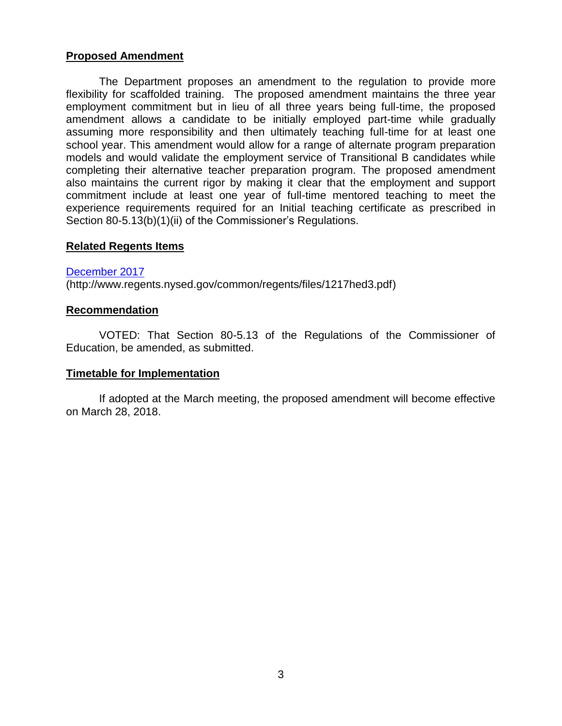### **Proposed Amendment**

The Department proposes an amendment to the regulation to provide more flexibility for scaffolded training. The proposed amendment maintains the three year employment commitment but in lieu of all three years being full-time, the proposed amendment allows a candidate to be initially employed part-time while gradually assuming more responsibility and then ultimately teaching full-time for at least one school year. This amendment would allow for a range of alternate program preparation models and would validate the employment service of Transitional B candidates while completing their alternative teacher preparation program. The proposed amendment also maintains the current rigor by making it clear that the employment and support commitment include at least one year of full-time mentored teaching to meet the experience requirements required for an Initial teaching certificate as prescribed in Section 80-5.13(b)(1)(ii) of the Commissioner's Regulations.

### **Related Regents Items**

#### [December 2017](http://www.regents.nysed.gov/common/regents/files/1217hed3.pdf)

(http://www.regents.nysed.gov/common/regents/files/1217hed3.pdf)

#### **Recommendation**

VOTED: That Section 80-5.13 of the Regulations of the Commissioner of Education, be amended, as submitted.

### **Timetable for Implementation**

If adopted at the March meeting, the proposed amendment will become effective on March 28, 2018.